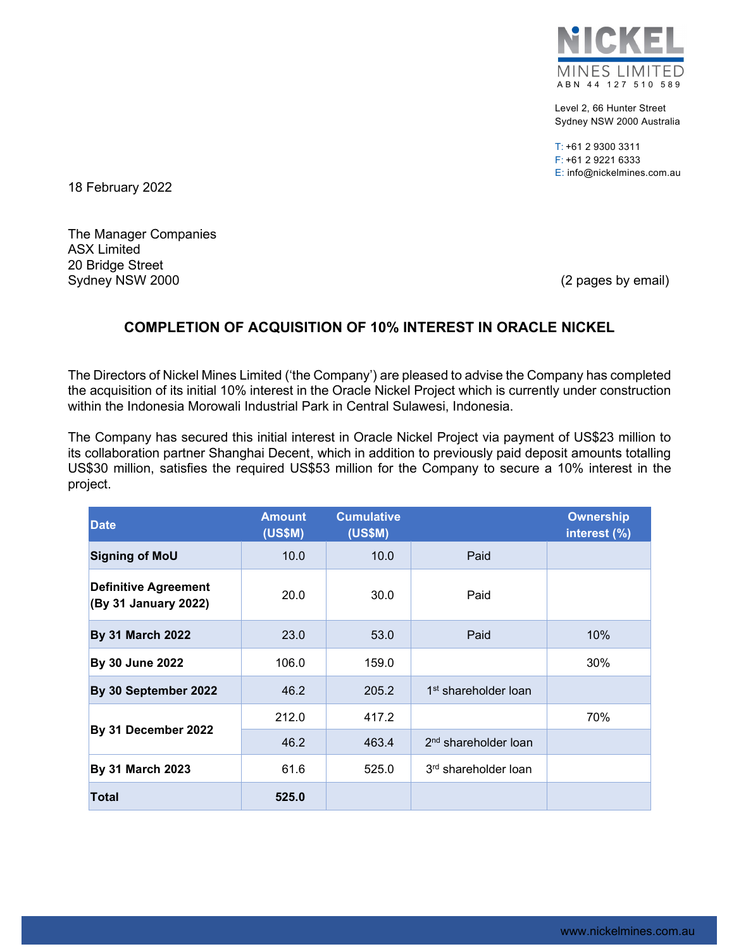

Level 2, 66 Hunter Street Sydney NSW 2000 Australia

T: +61 2 9300 3311 F: +61 2 9221 6333 E: info@nickelmines.com.au

18 February 2022

The Manager Companies ASX Limited 20 Bridge Street Sydney NSW 2000 (2 pages by email)

## **COMPLETION OF ACQUISITION OF 10% INTEREST IN ORACLE NICKEL**

The Directors of Nickel Mines Limited ('the Company') are pleased to advise the Company has completed the acquisition of its initial 10% interest in the Oracle Nickel Project which is currently under construction within the Indonesia Morowali Industrial Park in Central Sulawesi, Indonesia.

The Company has secured this initial interest in Oracle Nickel Project via payment of US\$23 million to its collaboration partner Shanghai Decent, which in addition to previously paid deposit amounts totalling US\$30 million, satisfies the required US\$53 million for the Company to secure a 10% interest in the project.

| <b>Date</b>                                         | <b>Amount</b><br><b>(US\$M)</b> | <b>Cumulative</b><br><b>(US\$M)</b> |                                  | <b>Ownership</b><br>interest (%) |
|-----------------------------------------------------|---------------------------------|-------------------------------------|----------------------------------|----------------------------------|
| <b>Signing of MoU</b>                               | 10.0                            | 10.0                                | Paid                             |                                  |
| <b>Definitive Agreement</b><br>(By 31 January 2022) | 20.0                            | 30.0                                | Paid                             |                                  |
| <b>By 31 March 2022</b>                             | 23.0                            | 53.0                                | Paid                             | 10%                              |
| By 30 June 2022                                     | 106.0                           | 159.0                               |                                  | 30%                              |
| By 30 September 2022                                | 46.2                            | 205.2                               | 1 <sup>st</sup> shareholder loan |                                  |
| By 31 December 2022                                 | 212.0                           | 417.2                               |                                  | 70%                              |
|                                                     | 46.2                            | 463.4                               | 2 <sup>nd</sup> shareholder loan |                                  |
| <b>By 31 March 2023</b>                             | 61.6                            | 525.0                               | 3 <sup>rd</sup> shareholder loan |                                  |
| <b>Total</b>                                        | 525.0                           |                                     |                                  |                                  |